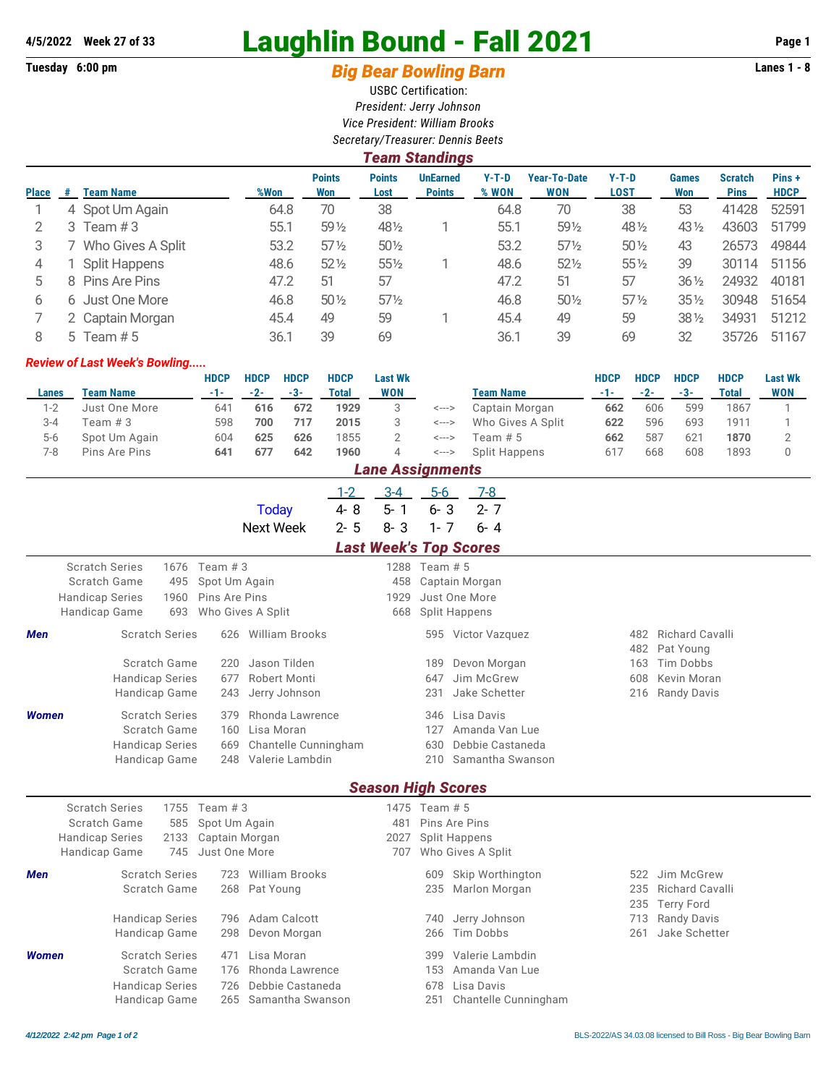# **4/5/2022 Week 27 of 33** Laughlin Bound - Fall 2021 **Page 1**

## Tuesday 6:00 pm **Big Bear Bowling Barn Barn Lanes 1 - 8**

USBC Certification: *President: Jerry Johnson Vice President: William Brooks Secretary/Treasurer: Dennis Beets*

|              | <b>Team Standings</b> |                   |      |                      |                       |                                  |                  |                                   |                        |                     |                               |                      |  |  |
|--------------|-----------------------|-------------------|------|----------------------|-----------------------|----------------------------------|------------------|-----------------------------------|------------------------|---------------------|-------------------------------|----------------------|--|--|
| <b>Place</b> | #                     | <b>Team Name</b>  | %Won | <b>Points</b><br>Won | <b>Points</b><br>Lost | <b>UnEarned</b><br><b>Points</b> | $Y-T-D$<br>% WON | <b>Year-To-Date</b><br><b>WON</b> | $Y-T-D$<br><b>LOST</b> | <b>Games</b><br>Won | <b>Scratch</b><br><b>Pins</b> | Pins+<br><b>HDCP</b> |  |  |
|              |                       | 4 Spot Um Again   | 64.8 | 70                   | 38                    |                                  | 64.8             | 70                                | 38                     | 53                  | 41428                         | 52591                |  |  |
|              | 3                     | Team #3           | 55.1 | $59\%$               | 481/2                 |                                  | 55.1             | 591/2                             | 48 1/2                 | $43\frac{1}{2}$     | 43603                         | 51799                |  |  |
| 3            |                       | Who Gives A Split | 53.2 | $57\%$               | $50\%$                |                                  | 53.2             | $57\frac{1}{2}$                   | $50\%$                 | 43                  | 26573                         | 49844                |  |  |
| 4            |                       | Split Happens     | 48.6 | $52\%$               | $55\%$                |                                  | 48.6             | $52\frac{1}{2}$                   | $55\%$                 | 39                  | 30114                         | 51156                |  |  |
| 5            |                       | 8 Pins Are Pins   | 47.2 | 51                   | 57                    |                                  | 47.2             | 51                                | 57                     | $36\frac{1}{2}$     | 24932                         | 40181                |  |  |
| 6            |                       | 6 Just One More   | 46.8 | $50\%$               | $57\frac{1}{2}$       |                                  | 46.8             | $50\%$                            | $57\%$                 | $35\%$              | 30948                         | 51654                |  |  |
|              |                       | 2 Captain Morgan  | 45.4 | 49                   | 59                    |                                  | 45.4             | 49                                | 59                     | $38\frac{1}{2}$     | 34931                         | 51212                |  |  |
| 8            |                       | 5 Team $# 5$      | 36.1 | 39                   | 69                    |                                  | 36.1             | 39                                | 69                     | 32                  | 35726                         | 51167                |  |  |

#### *Review of Last Week's Bowling.....*

|         |                  | <b>HDCP</b> | <b>HDCP</b> | <b>HDCP</b> | <b>HDCP</b> | <b>Last Wk</b>          |       |                   | <b>HDCP</b> | <b>HDCP</b> | <b>HDCP</b> | <b>HDCP</b> | <b>Last Wk</b> |
|---------|------------------|-------------|-------------|-------------|-------------|-------------------------|-------|-------------------|-------------|-------------|-------------|-------------|----------------|
| Lanes   | <b>Team Name</b> | -1-1        | $-2-$       | $-3-$       | Total       | WON                     |       | <b>Team Name</b>  |             | $-2-$       | $-3-$       | Total       | <b>WON</b>     |
| $1 - 2$ | Just One More    | 641         | 616         | 672         | 1929        |                         | <---> | Captain Morgan    | 662         | 606         | 599         | 1867        |                |
| $3 - 4$ | Team # 3         | 598         | 700         | 717         | 2015        |                         | <---> | Who Gives A Split | 622         | 596         | 693         | 1911        |                |
| $5 - 6$ | Spot Um Again    | 604         | 625         | 626         | 1855        |                         | <---> | Team # 5          | 662         | 587         | 621         | 1870        |                |
| 7-8     | Pins Are Pins    | 641         | 677         | 642         | 1960        | 4                       | <---> | Split Happens     | 617         | 668         | 608         | 1893        |                |
|         |                  |             |             |             |             | <b>Long Accidential</b> |       |                   |             |             |             |             |                |

|                                                 | <i>Lane Assignments</i>              |              |                |                       |         |                               |               |                      |                      |     |                    |  |  |
|-------------------------------------------------|--------------------------------------|--------------|----------------|-----------------------|---------|-------------------------------|---------------|----------------------|----------------------|-----|--------------------|--|--|
|                                                 |                                      |              |                |                       | $1 - 2$ | $3 - 4$                       | $5-6$         |                      | $7-8$                |     |                    |  |  |
|                                                 |                                      |              |                | <b>Today</b>          | 4-8     | $5 - 1$                       | $6 - 3$       |                      | $2 - 7$              |     |                    |  |  |
|                                                 |                                      |              |                | <b>Next Week</b>      | $2 - 5$ | $8 - 3$                       | $1 - 7$       |                      | $6 - 4$              |     |                    |  |  |
|                                                 |                                      |              |                |                       |         | <b>Last Week's Top Scores</b> |               |                      |                      |     |                    |  |  |
|                                                 | <b>Scratch Series</b>                | 1676         | Team $#3$      |                       |         |                               | 1288 Team # 5 |                      |                      |     |                    |  |  |
|                                                 | Scratch Game<br>495<br>Spot Um Again |              |                |                       |         | 458                           |               | Captain Morgan       |                      |     |                    |  |  |
| Pins Are Pins<br><b>Handicap Series</b><br>1960 |                                      |              |                |                       |         | 1929                          |               | Just One More        |                      |     |                    |  |  |
|                                                 | Handicap Game                        | 693          |                | Who Gives A Split     |         | 668                           |               | <b>Split Happens</b> |                      |     |                    |  |  |
| Men                                             | <b>Scratch Series</b>                |              | 626            | <b>William Brooks</b> |         |                               |               |                      | 595 Victor Vazquez   | 482 | Richard Cavalli    |  |  |
|                                                 |                                      |              |                |                       |         |                               |               |                      |                      | 482 | Pat Young          |  |  |
|                                                 |                                      | Scratch Game | 220            | Jason Tilden          |         |                               | 189           |                      | Devon Morgan         | 163 | Tim Dobbs          |  |  |
|                                                 | <b>Handicap Series</b>               |              | 677            | Robert Monti          |         |                               | 647           |                      | Jim McGrew           | 608 | Kevin Moran        |  |  |
|                                                 | Handicap Game                        |              | 243            | Jerry Johnson         |         |                               | 231           |                      | Jake Schetter        | 216 | <b>Randy Davis</b> |  |  |
| <b>Women</b>                                    | <b>Scratch Series</b>                |              | 379            | Rhonda Lawrence       |         |                               | 346           | Lisa Davis           |                      |     |                    |  |  |
|                                                 | Scratch Game                         |              | 160            | Lisa Moran            |         |                               | 127           |                      | Amanda Van Lue       |     |                    |  |  |
|                                                 | <b>Handicap Series</b>               |              | 669            | Chantelle Cunningham  |         |                               | 630           |                      | Debbie Castaneda     |     |                    |  |  |
|                                                 | <b>Handicap Game</b>                 |              | 248            | Valerie Lambdin       |         |                               | 210           |                      | Samantha Swanson     |     |                    |  |  |
|                                                 |                                      |              |                |                       |         | <b>Season High Scores</b>     |               |                      |                      |     |                    |  |  |
|                                                 | <b>Scratch Series</b>                | 1755         | Team $#3$      |                       |         |                               | 1475 Team # 5 |                      |                      |     |                    |  |  |
|                                                 | Scratch Game                         | 585          | Spot Um Again  |                       |         | 481                           |               | Pins Are Pins        |                      |     |                    |  |  |
|                                                 | <b>Handicap Series</b>               | 2133         | Captain Morgan |                       |         | 2027                          |               | <b>Split Happens</b> |                      |     |                    |  |  |
|                                                 | Handicap Game                        | 745          | Just One More  |                       |         | 707                           |               | Who Gives A Split    |                      |     |                    |  |  |
| Men                                             | <b>Scratch Series</b>                |              | 723            | <b>William Brooks</b> |         |                               | 609           |                      | Skip Worthington     | 522 | Jim McGrew         |  |  |
|                                                 | Scratch Game                         |              | 268            | Pat Young             |         |                               | 235           |                      | Marlon Morgan        | 235 | Richard Cavalli    |  |  |
|                                                 |                                      |              |                |                       |         |                               |               |                      |                      | 235 | <b>Terry Ford</b>  |  |  |
|                                                 | <b>Handicap Series</b>               |              | 796            | Adam Calcott          |         |                               | 740           |                      | Jerry Johnson        | 713 | <b>Randy Davis</b> |  |  |
|                                                 | Handicap Game                        |              | 298            | Devon Morgan          |         |                               | 266           | <b>Tim Dobbs</b>     |                      | 261 | Jake Schetter      |  |  |
| <b>Women</b>                                    | <b>Scratch Series</b>                |              | 471            | Lisa Moran            |         |                               | 399           |                      | Valerie Lambdin      |     |                    |  |  |
|                                                 | Scratch Game                         |              | 176            | Rhonda Lawrence       |         |                               | 153           |                      | Amanda Van Lue       |     |                    |  |  |
|                                                 | <b>Handicap Series</b>               |              | 726            | Debbie Castaneda      |         |                               | 678           | Lisa Davis           |                      |     |                    |  |  |
|                                                 | Handicap Game                        |              | 265            | Samantha Swanson      |         |                               | 251           |                      | Chantelle Cunningham |     |                    |  |  |
|                                                 |                                      |              |                |                       |         |                               |               |                      |                      |     |                    |  |  |